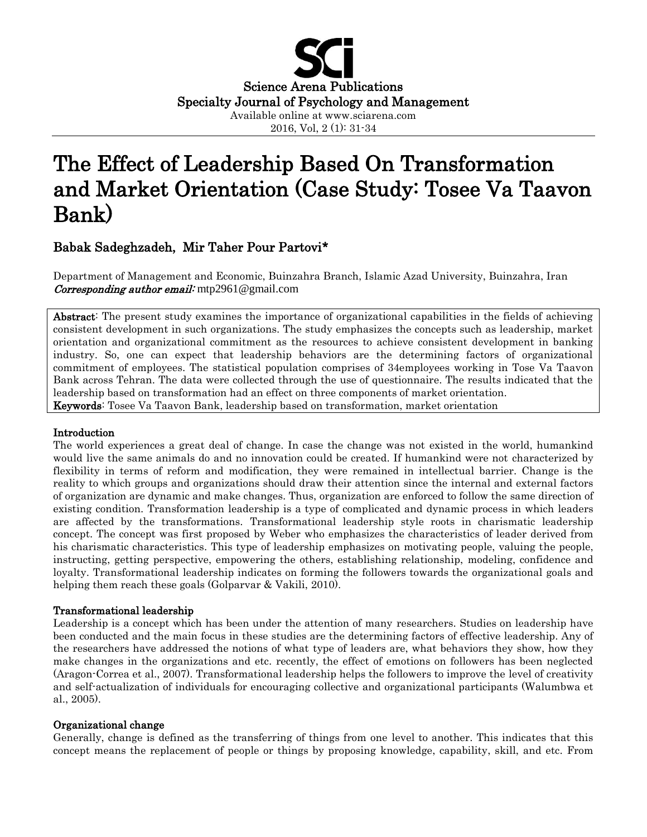

# The Effect of Leadership Based On Transformation and Market Orientation (Case Study: Tosee Va Taavon Bank)

## Babak Sadeghzadeh, Mir Taher Pour Partovi\*

Department of Management and Economic, Buinzahra Branch, Islamic Azad University, Buinzahra, Iran *Corresponding author email:* mtp2961@gmail.com

Abstract: The present study examines the importance of organizational capabilities in the fields of achieving consistent development in such organizations. The study emphasizes the concepts such as leadership, market orientation and organizational commitment as the resources to achieve consistent development in banking industry. So, one can expect that leadership behaviors are the determining factors of organizational commitment of employees. The statistical population comprises of 34employees working in Tose Va Taavon Bank across Tehran. The data were collected through the use of questionnaire. The results indicated that the leadership based on transformation had an effect on three components of market orientation. Keywords: Tosee Va Taavon Bank, leadership based on transformation, market orientation

#### Introduction

The world experiences a great deal of change. In case the change was not existed in the world, humankind would live the same animals do and no innovation could be created. If humankind were not characterized by flexibility in terms of reform and modification, they were remained in intellectual barrier. Change is the reality to which groups and organizations should draw their attention since the internal and external factors of organization are dynamic and make changes. Thus, organization are enforced to follow the same direction of existing condition. Transformation leadership is a type of complicated and dynamic process in which leaders are affected by the transformations. Transformational leadership style roots in charismatic leadership concept. The concept was first proposed by Weber who emphasizes the characteristics of leader derived from his charismatic characteristics. This type of leadership emphasizes on motivating people, valuing the people, instructing, getting perspective, empowering the others, establishing relationship, modeling, confidence and loyalty. Transformational leadership indicates on forming the followers towards the organizational goals and helping them reach these goals (Golparvar & Vakili, 2010).

### Transformational leadership

Leadership is a concept which has been under the attention of many researchers. Studies on leadership have been conducted and the main focus in these studies are the determining factors of effective leadership. Any of the researchers have addressed the notions of what type of leaders are, what behaviors they show, how they make changes in the organizations and etc. recently, the effect of emotions on followers has been neglected (Aragon-Correa et al., 2007). Transformational leadership helps the followers to improve the level of creativity and self-actualization of individuals for encouraging collective and organizational participants (Walumbwa et al., 2005).

### Organizational change

Generally, change is defined as the transferring of things from one level to another. This indicates that this concept means the replacement of people or things by proposing knowledge, capability, skill, and etc. From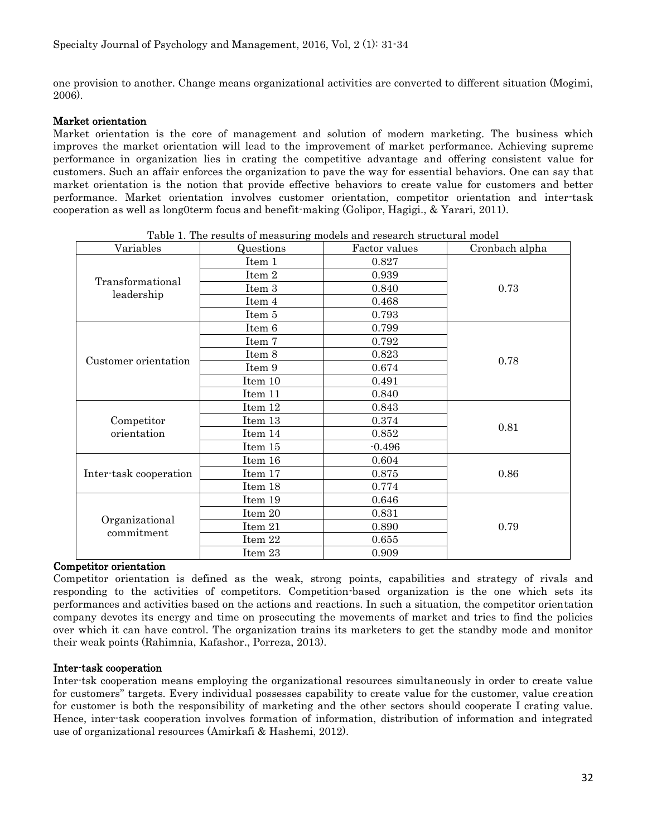one provision to another. Change means organizational activities are converted to different situation (Mogimi, 2006).

### Market orientation

Market orientation is the core of management and solution of modern marketing. The business which improves the market orientation will lead to the improvement of market performance. Achieving supreme performance in organization lies in crating the competitive advantage and offering consistent value for customers. Such an affair enforces the organization to pave the way for essential behaviors. One can say that market orientation is the notion that provide effective behaviors to create value for customers and better performance. Market orientation involves customer orientation, competitor orientation and inter-task cooperation as well as long0term focus and benefit-making (Golipor, Hagigi., & Yarari, 2011).

| Variables                      | Questions | Factor values | Cronbach alpha |  |
|--------------------------------|-----------|---------------|----------------|--|
| Transformational<br>leadership | Item 1    | 0.827         | 0.73           |  |
|                                | Item 2    | 0.939         |                |  |
|                                | Item 3    | 0.840         |                |  |
|                                | Item 4    | 0.468         |                |  |
|                                | Item 5    | 0.793         |                |  |
| Customer orientation           | Item 6    | 0.799         |                |  |
|                                | Item 7    | 0.792         |                |  |
|                                | Item 8    | 0.823         | 0.78           |  |
|                                | Item 9    | 0.674         |                |  |
|                                | Item 10   | 0.491         |                |  |
|                                | Item 11   | 0.840         |                |  |
|                                | Item 12   | 0.843         | 0.81           |  |
| Competitor                     | Item 13   | 0.374         |                |  |
| orientation                    | Item 14   | 0.852         |                |  |
|                                | Item 15   | $-0.496$      |                |  |
| Inter-task cooperation         | Item 16   | 0.604         |                |  |
|                                | Item 17   | 0.875         | 0.86           |  |
|                                | Item 18   | 0.774         |                |  |
| Organizational<br>commitment   | Item 19   | 0.646         |                |  |
|                                | Item 20   | 0.831         |                |  |
|                                | Item 21   | 0.890         | 0.79           |  |
|                                | Item 22   | 0.655         |                |  |
|                                | Item 23   | 0.909         |                |  |

Table 1. The results of measuring models and research structural model

#### Competitor orientation

Competitor orientation is defined as the weak, strong points, capabilities and strategy of rivals and responding to the activities of competitors. Competition-based organization is the one which sets its performances and activities based on the actions and reactions. In such a situation, the competitor orientation company devotes its energy and time on prosecuting the movements of market and tries to find the policies over which it can have control. The organization trains its marketers to get the standby mode and monitor their weak points (Rahimnia, Kafashor., Porreza, 2013).

### Inter-task cooperation

Inter-tsk cooperation means employing the organizational resources simultaneously in order to create value for customers'' targets. Every individual possesses capability to create value for the customer, value creation for customer is both the responsibility of marketing and the other sectors should cooperate I crating value. Hence, inter-task cooperation involves formation of information, distribution of information and integrated use of organizational resources (Amirkafi & Hashemi, 2012).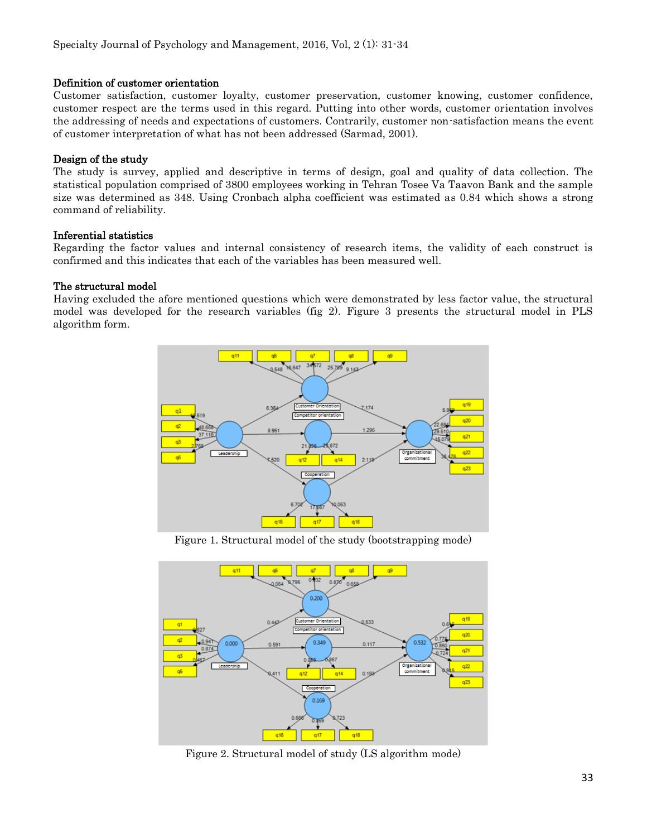#### Definition of customer orientation

Customer satisfaction, customer loyalty, customer preservation, customer knowing, customer confidence, customer respect are the terms used in this regard. Putting into other words, customer orientation involves the addressing of needs and expectations of customers. Contrarily, customer non-satisfaction means the event of customer interpretation of what has not been addressed (Sarmad, 2001).

### Design of the study

The study is survey, applied and descriptive in terms of design, goal and quality of data collection. The statistical population comprised of 3800 employees working in Tehran Tosee Va Taavon Bank and the sample size was determined as 348. Using Cronbach alpha coefficient was estimated as 0.84 which shows a strong command of reliability.

#### Inferential statistics

Regarding the factor values and internal consistency of research items, the validity of each construct is confirmed and this indicates that each of the variables has been measured well.

#### The structural model

Having excluded the afore mentioned questions which were demonstrated by less factor value, the structural model was developed for the research variables (fig 2). Figure 3 presents the structural model in PLS algorithm form.



Figure 1. Structural model of the study (bootstrapping mode)



Figure 2. Structural model of study (LS algorithm mode)